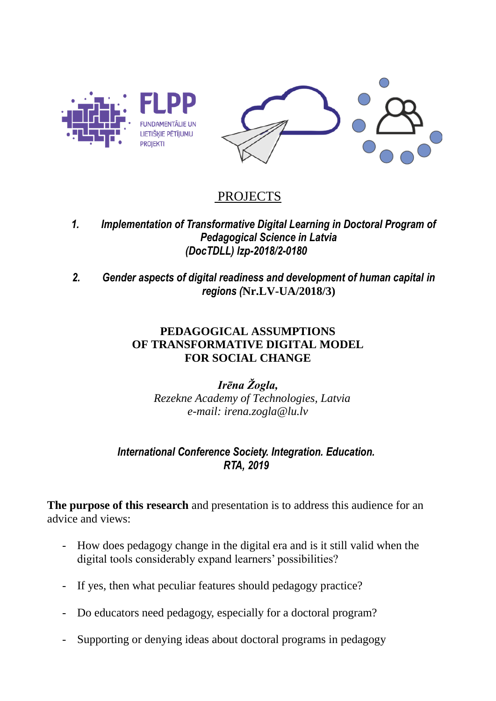

# PROJECTS

- *1. Implementation of Transformative Digital Learning in Doctoral Program of Pedagogical Science in Latvia (DocTDLL) lzp-2018/2-0180*
- *2. Gender aspects of digital readiness and development of human capital in regions (***Nr.LV-UA/2018/3)**

### **PEDAGOGICAL ASSUMPTIONS OF TRANSFORMATIVE DIGITAL MODEL FOR SOCIAL CHANGE**

*Irēna Žogla, Rezekne Academy of Technologies, Latvia e-mail: irena.zogla@lu.lv*

## *International Conference Society. Integration. Education. RTA, 2019*

**The purpose of this research** and presentation is to address this audience for an advice and views:

- How does pedagogy change in the digital era and is it still valid when the digital tools considerably expand learners' possibilities?
- If yes, then what peculiar features should pedagogy practice?
- Do educators need pedagogy, especially for a doctoral program?
- Supporting or denying ideas about doctoral programs in pedagogy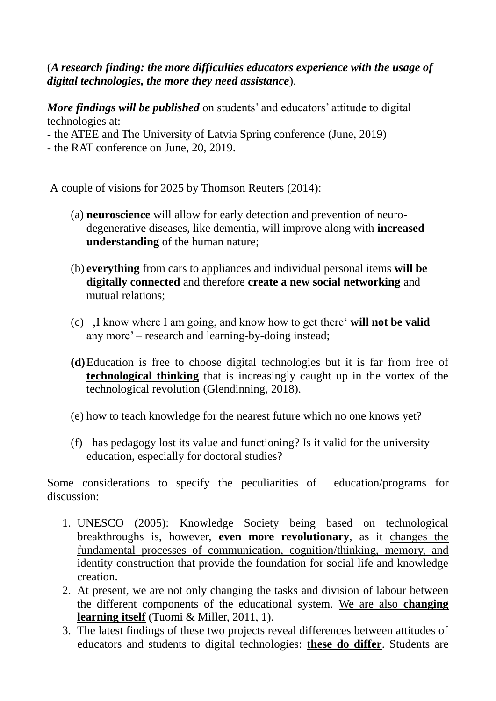## (*A research finding: the more difficulties educators experience with the usage of digital technologies, the more they need assistance*).

*More findings will be published* on students' and educators' attitude to digital technologies at:

- the ATEE and The University of Latvia Spring conference (June, 2019)
- the RAT conference on June, 20, 2019.

A couple of visions for 2025 by Thomson Reuters (2014):

- (a) **neuroscience** will allow for early detection and prevention of neurodegenerative diseases, like dementia, will improve along with **increased understanding** of the human nature;
- (b) **everything** from cars to appliances and individual personal items **will be digitally connected** and therefore **create a new social networking** and mutual relations;
- (c) 'I know where I am going, and know how to get there' **will not be valid** any more' – research and learning-by-doing instead;
- **(d)**Education is free to choose digital technologies but it is far from free of **technological thinking** that is increasingly caught up in the vortex of the technological revolution (Glendinning, 2018).
- (e) how to teach knowledge for the nearest future which no one knows yet?
- (f) has pedagogy lost its value and functioning? Is it valid for the university education, especially for doctoral studies?

Some considerations to specify the peculiarities of education/programs for discussion:

- 1. UNESCO (2005): Knowledge Society being based on technological breakthroughs is, however, **even more revolutionary**, as it changes the fundamental processes of communication, cognition/thinking, memory, and identity construction that provide the foundation for social life and knowledge creation.
- 2. At present, we are not only changing the tasks and division of labour between the different components of the educational system. We are also **changing learning itself** (Tuomi & Miller, 2011, 1).
- 3. The latest findings of these two projects reveal differences between attitudes of educators and students to digital technologies: **these do differ**. Students are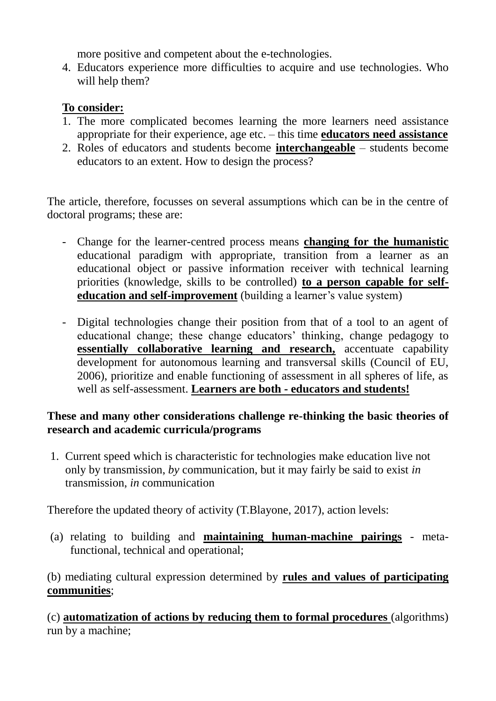more positive and competent about the e-technologies.

4. Educators experience more difficulties to acquire and use technologies. Who will help them?

## **To consider:**

- 1. The more complicated becomes learning the more learners need assistance appropriate for their experience, age etc. – this time **educators need assistance**
- 2. Roles of educators and students become **interchangeable** students become educators to an extent. How to design the process?

The article, therefore, focusses on several assumptions which can be in the centre of doctoral programs; these are:

- Change for the learner-centred process means **changing for the humanistic** educational paradigm with appropriate, transition from a learner as an educational object or passive information receiver with technical learning priorities (knowledge, skills to be controlled) **to a person capable for selfeducation and self-improvement** (building a learner's value system)
- Digital technologies change their position from that of a tool to an agent of educational change; these change educators' thinking, change pedagogy to **essentially collaborative learning and research,** accentuate capability development for autonomous learning and transversal skills (Council of EU, 2006), prioritize and enable functioning of assessment in all spheres of life, as well as self-assessment. **Learners are both - educators and students!**

## **These and many other considerations challenge re-thinking the basic theories of research and academic curricula/programs**

1. Current speed which is characteristic for technologies make education live not only by transmission, *by* communication, but it may fairly be said to exist *in* transmission, *in* communication

Therefore the updated theory of activity (T.Blayone, 2017), action levels:

(a) relating to building and **maintaining human-machine pairings** - metafunctional, technical and operational;

(b) mediating cultural expression determined by **rules and values of participating communities**;

(c) **automatization of actions by reducing them to formal procedures** (algorithms) run by a machine;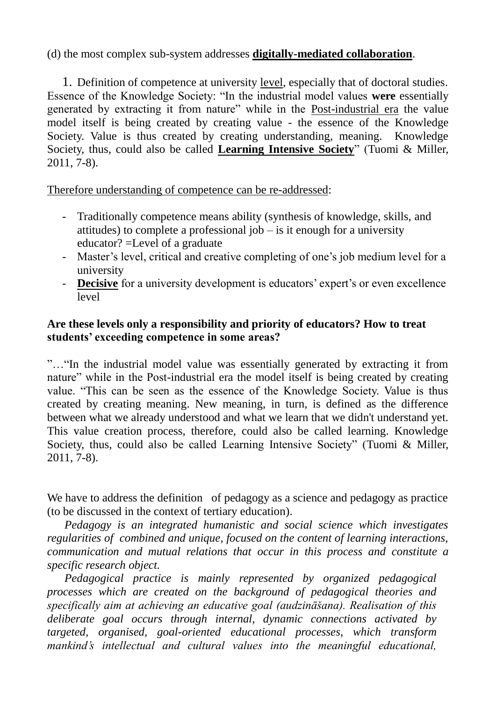### (d) the most complex sub-system addresses **digitally-mediated collaboration**.

1. Definition of competence at university level, especially that of doctoral studies. Essence of the Knowledge Society: "In the industrial model values **were** essentially generated by extracting it from nature" while in the Post-industrial era the value model itself is being created by creating value - the essence of the Knowledge Society. Value is thus created by creating understanding, meaning. Knowledge Society, thus, could also be called **Learning Intensive Society**" (Tuomi & Miller, 2011, 7-8).

Therefore understanding of competence can be re-addressed:

- Traditionally competence means ability (synthesis of knowledge, skills, and attitudes) to complete a professional job – is it enough for a university educator? =Level of a graduate
- Master's level, critical and creative completing of one's job medium level for a university
- **Decisive** for a university development is educators' expert's or even excellence level

### **Are these levels only a responsibility and priority of educators? How to treat students' exceeding competence in some areas?**

"…"In the industrial model value was essentially generated by extracting it from nature" while in the Post-industrial era the model itself is being created by creating value. "This can be seen as the essence of the Knowledge Society. Value is thus created by creating meaning. New meaning, in turn, is defined as the difference between what we already understood and what we learn that we didn't understand yet. This value creation process, therefore, could also be called learning. Knowledge Society, thus, could also be called Learning Intensive Society" (Tuomi & Miller, 2011, 7-8).

We have to address the definition of pedagogy as a science and pedagogy as practice (to be discussed in the context of tertiary education).

 *Pedagogy is an integrated humanistic and social science which investigates regularities of combined and unique, focused on the content of learning interactions, communication and mutual relations that occur in this process and constitute a specific research object.* 

 *Pedagogical practice is mainly represented by organized pedagogical processes which are created on the background of pedagogical theories and specifically aim at achieving an educative goal (audzināšana). Realisation of this deliberate goal occurs through internal, dynamic connections activated by targeted, organised, goal-oriented educational processes, which transform mankind's intellectual and cultural values into the meaningful educational,*